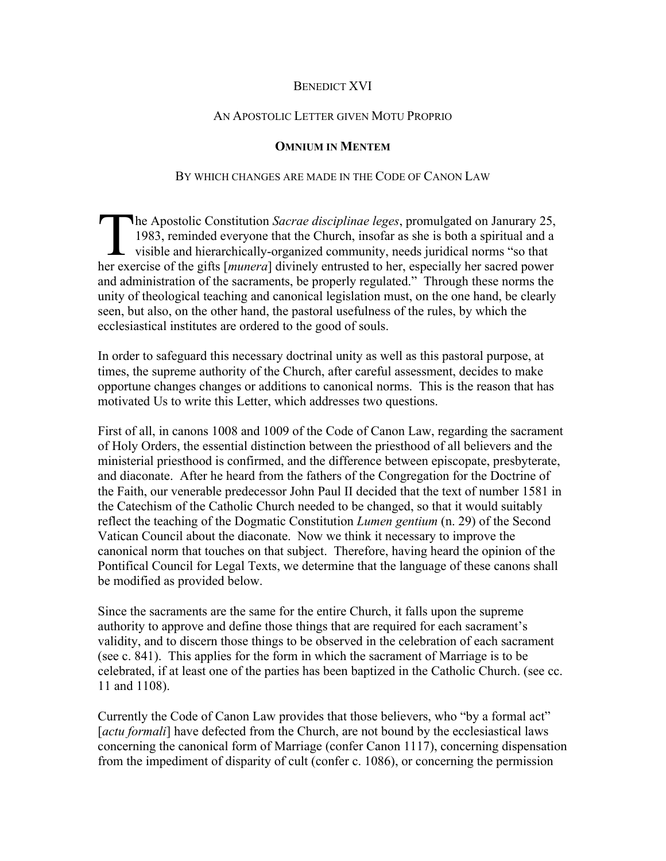## BENEDICT XVI

## AN APOSTOLIC LETTER GIVEN MOTU PROPRIO

## **OMNIUM IN MENTEM**

## BY WHICH CHANGES ARE MADE IN THE CODE OF CANON LAW

he Apostolic Constitution *Sacrae disciplinae leges*, promulgated on Janurary 25, 1983, reminded everyone that the Church, insofar as she is both a spiritual and a visible and hierarchically-organized community, needs juridical norms "so that The Apostolic Constitution *Sacrae disciplinae leges*, promulgated on Janurary 25, 1983, reminded everyone that the Church, insofar as she is both a spiritual and a visible and hierarchically-organized community, needs jur and administration of the sacraments, be properly regulated." Through these norms the unity of theological teaching and canonical legislation must, on the one hand, be clearly seen, but also, on the other hand, the pastoral usefulness of the rules, by which the ecclesiastical institutes are ordered to the good of souls.

In order to safeguard this necessary doctrinal unity as well as this pastoral purpose, at times, the supreme authority of the Church, after careful assessment, decides to make opportune changes changes or additions to canonical norms. This is the reason that has motivated Us to write this Letter, which addresses two questions.

First of all, in canons 1008 and 1009 of the Code of Canon Law, regarding the sacrament of Holy Orders, the essential distinction between the priesthood of all believers and the ministerial priesthood is confirmed, and the difference between episcopate, presbyterate, and diaconate. After he heard from the fathers of the Congregation for the Doctrine of the Faith, our venerable predecessor John Paul II decided that the text of number 1581 in the Catechism of the Catholic Church needed to be changed, so that it would suitably reflect the teaching of the Dogmatic Constitution *Lumen gentium* (n. 29) of the Second Vatican Council about the diaconate. Now we think it necessary to improve the canonical norm that touches on that subject. Therefore, having heard the opinion of the Pontifical Council for Legal Texts, we determine that the language of these canons shall be modified as provided below.

Since the sacraments are the same for the entire Church, it falls upon the supreme authority to approve and define those things that are required for each sacrament's validity, and to discern those things to be observed in the celebration of each sacrament (see c. 841). This applies for the form in which the sacrament of Marriage is to be celebrated, if at least one of the parties has been baptized in the Catholic Church. (see cc. 11 and 1108).

Currently the Code of Canon Law provides that those believers, who "by a formal act" [*actu formali*] have defected from the Church, are not bound by the ecclesiastical laws concerning the canonical form of Marriage (confer Canon 1117), concerning dispensation from the impediment of disparity of cult (confer c. 1086), or concerning the permission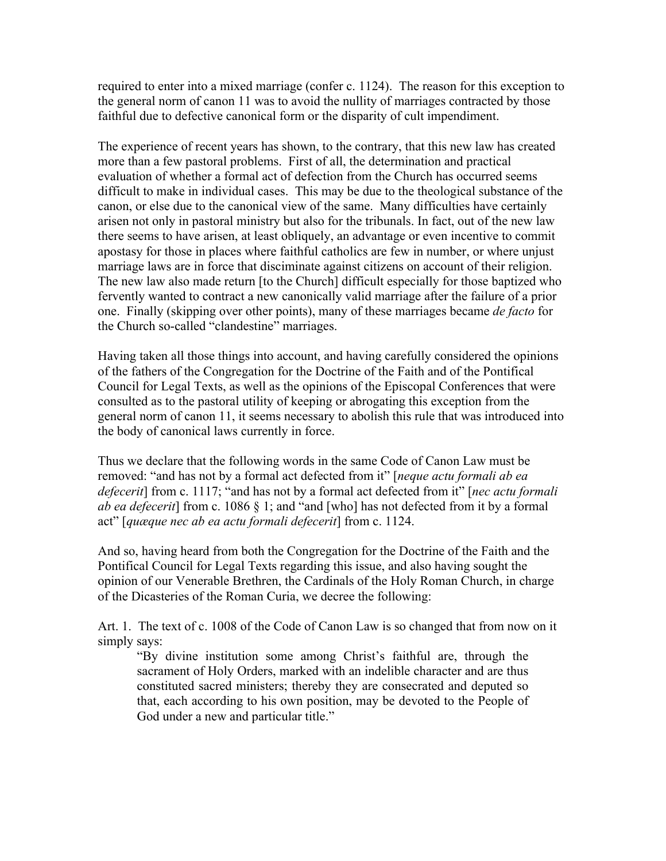required to enter into a mixed marriage (confer c. 1124). The reason for this exception to the general norm of canon 11 was to avoid the nullity of marriages contracted by those faithful due to defective canonical form or the disparity of cult impendiment.

The experience of recent years has shown, to the contrary, that this new law has created more than a few pastoral problems. First of all, the determination and practical evaluation of whether a formal act of defection from the Church has occurred seems difficult to make in individual cases. This may be due to the theological substance of the canon, or else due to the canonical view of the same. Many difficulties have certainly arisen not only in pastoral ministry but also for the tribunals. In fact, out of the new law there seems to have arisen, at least obliquely, an advantage or even incentive to commit apostasy for those in places where faithful catholics are few in number, or where unjust marriage laws are in force that disciminate against citizens on account of their religion. The new law also made return [to the Church] difficult especially for those baptized who fervently wanted to contract a new canonically valid marriage after the failure of a prior one. Finally (skipping over other points), many of these marriages became *de facto* for the Church so-called "clandestine" marriages.

Having taken all those things into account, and having carefully considered the opinions of the fathers of the Congregation for the Doctrine of the Faith and of the Pontifical Council for Legal Texts, as well as the opinions of the Episcopal Conferences that were consulted as to the pastoral utility of keeping or abrogating this exception from the general norm of canon 11, it seems necessary to abolish this rule that was introduced into the body of canonical laws currently in force.

Thus we declare that the following words in the same Code of Canon Law must be removed: "and has not by a formal act defected from it" [*neque actu formali ab ea defecerit*] from c. 1117; "and has not by a formal act defected from it" [*nec actu formali ab ea defecerit*] from c. 1086 § 1; and "and [who] has not defected from it by a formal act" [*quæque nec ab ea actu formali defecerit*] from c. 1124.

And so, having heard from both the Congregation for the Doctrine of the Faith and the Pontifical Council for Legal Texts regarding this issue, and also having sought the opinion of our Venerable Brethren, the Cardinals of the Holy Roman Church, in charge of the Dicasteries of the Roman Curia, we decree the following:

Art. 1. The text of c. 1008 of the Code of Canon Law is so changed that from now on it simply says:

"By divine institution some among Christ's faithful are, through the sacrament of Holy Orders, marked with an indelible character and are thus constituted sacred ministers; thereby they are consecrated and deputed so that, each according to his own position, may be devoted to the People of God under a new and particular title."